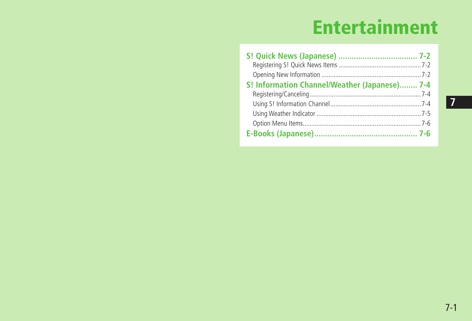# **Entertainment**

| S! Information Channel/Weather (Japanese) 7-4 |  |
|-----------------------------------------------|--|
|                                               |  |
|                                               |  |
|                                               |  |
|                                               |  |
|                                               |  |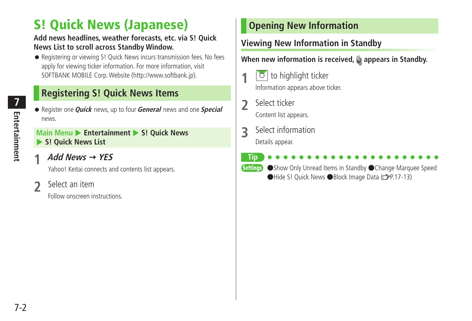## <span id="page-1-0"></span>**S! Quick News (Japanese)**

#### **Add news headlines, weather forecasts, etc. via S! Quick News List to scroll across Standby Window.**

● Registering or viewing S! Quick News incurs transmission fees. No fees apply for viewing ticker information. For more information, visit SOFTBANK MOBILE Corp. Website (http://www.softbank.jp).

### **Registering S! Quick News Items**

● Register one **Quick** news, up to four **General** news and one **Special**  news.

#### **Main Menu > Entertainment > S! Quick News** X **S! Quick News List**

**1 Add News YES**

Yahoo! Keitai connects and contents list appears.

#### **2** Select an item

Follow onscreen instructions.

### **Opening New Information**

### **Viewing New Information in Standby**

When new information is received, **a** appears in Standby.

- **1** to highlight ticker Information appears above ticker.
- **2** Select ticker

Content list appears.

- **3** Select information Details appear.
- **Tip**

**Settings** ●Show Only Unread Items in Standby ●Change Marquee Speed ●Hide S! Quick News ●Block Image Data ( P.17-13)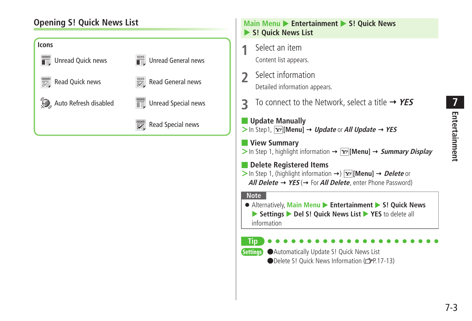### **Opening S! Quick News List**



### **Main Menu > Entertainment > S! Quick News** X **S! Quick News List 1** Select an item Content list appears. **2** Select information Detailed information appears. **3** To connect to the Network, select a title **YES** ■ **Update Manually**  $>$  In Step1,  $\overline{Y}$  [Menu]  $\rightarrow$  *Update* or *All Update*  $\rightarrow$  YES ■ **View Summary**  $>$  In Step 1, highlight information  $\rightarrow \boxed{\mathbf{x}}$  [Menu]  $\rightarrow$  *Summary Display* ■ **Delete Registered Items**  $>$  In Step 1, (highlight information  $\rightarrow$ )  $\overline{Y}$  [Menu]  $\rightarrow$  *Delete* or **All Delete**  $\rightarrow$  **YES** ( $\rightarrow$  For **All Delete**, enter Phone Password) **Note** ● Alternatively, Main Menu ▶ Entertainment ▶ S! Quick News ▶ Settings ▶ Del S! Quick News List ▶ YES to delete all information **Tip** Settings ●Automatically Update S! Quick News List ●Delete S! Quick News Information (rep. 17-13)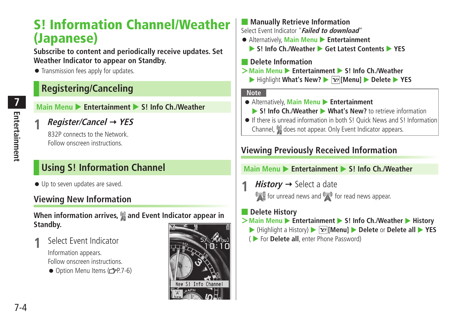## <span id="page-3-0"></span>**S! Information Channel/Weather (Japanese)**

**Subscribe to content and periodically receive updates. Set Weather Indicator to appear on Standby.**

● Transmission fees apply for updates.

### **Registering/Canceling**

**Main Menu ▶ Entertainment ▶ S! Info Ch./Weather** 

**1 Register/Cancel YES**

832P connects to the Network. Follow onscreen instructions.

### **Using S! Information Channel**

● Up to seven updates are saved.

### **Viewing New Information**

#### **When information arrives, and Event Indicator appear in Standby.**

**1** Select Event Indicator

Information appears. Follow onscreen instructions.

 $\bullet$  Option Menu Items ( $\mathcal{P}$ P.7-6)



#### ■ **Manually Retrieve Information** Select Event Indicator "**Failed to download**"

- Alternatively, **Main Menu ▶ Entertainment** 
	- ▶ S! Info Ch./Weather ▶ Get Latest Contents ▶ YES

#### ■ **Delete Information**

- $>$ **Main Menu** ▶ **Entertainment ▶ S! Info Ch./Weather** 
	- ▶ Highlight What's New? ▶  $\boxed{\mathbf{Y}}$  [Menu] ▶ Delete ▶ YES

#### **Note**

- Alternatively, **Main Menu** X **Entertainment**
	- ▶ S! Info Ch./Weather ▶ What's New? to retrieve information
- If there is unread information in both S! Quick News and S! Information Channel, **W** does not appear. Only Event Indicator appears.

### **Viewing Previously Received Information**

#### **Main Menu > Entertainment > S! Info Ch./Weather**

*History*  $\rightarrow$  Select a date **For** for unread news and **For** for read news appear.

#### ■ **Delete History**

- >**Main Menu → Entertainment → S! Info Ch./Weather → History** 
	- ▶ (Highlight a History) ▶  $\boxed{\mathbf{Y}}$  **[Menu]** ▶ Delete or Delete all ▶ YES
	- ( X For **Delete all**, enter Phone Password)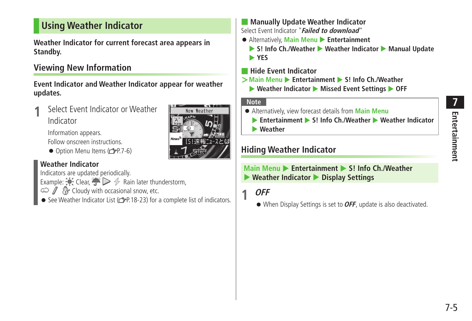### <span id="page-4-0"></span>**Using Weather Indicator**

**Weather Indicator for current forecast area appears in Standby.**

### **Viewing New Information**

**Event Indicator and Weather Indicator appear for weather updates.**

**1** Select Event Indicator or Weather Indicator

Information appears.

Follow onscreen instructions.

 $\bullet$  Option Menu Items ( $\leq$   $\neq$  P.7-6)

#### **Weather Indicator**

Indicators are updated periodically.

- Example:  $\bullet$  Clear,  $\bullet$   $\triangleright$   $\diamond$  Rain later thunderstorm,
- $\circledcirc$  /  $\circledcirc$  Cloudy with occasional snow, etc.
- See Weather Indicator List (  $r$  P.18-23) for a complete list of indicators.

■ **Manually Update Weather Indicator** Select Event Indicator "**Failed to download**"

- Alternatively, **Main Menu** X **Entertainment**
	- ▶ S! Info Ch./Weather ▶ Weather Indicator ▶ Manual Update X **YES**
- **Hide Event Indicator**
- $>$ **Main Menu ▶ Entertainment ▶ S! Info Ch./Weather** 
	- ▶ Weather Indicator ▶ Missed Event Settings ▶ OFF

#### **Note**

New Weather

「SI速報-7-7とは

- Alternatively, view forecast details from **Main Menu**
	- **Entertainment S! Info Ch./Weather Weather Indicator**
	- X **Weather**

### **Hiding Weather Indicator**

#### **Main Menu > Entertainment > S! Info Ch /Weather** X **Weather Indicator** X **Display Settings**

### **1 OFF**

● When Display Settings is set to **OFF**, update is also deactivated.